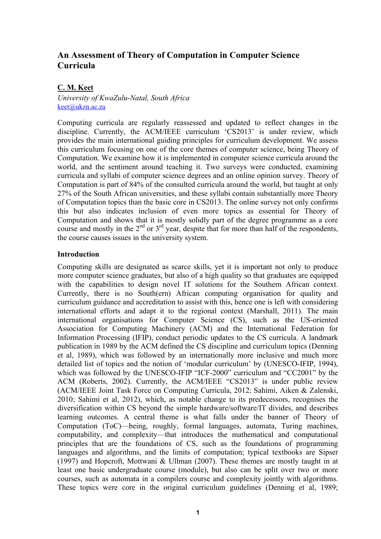# **An Assessment of Theory of Computation in Computer Science Curricula**

# **C. M. Keet**

*University of KwaZulu-Natal, South Africa* keet@ukzn.ac.za

Computing curricula are regularly reassessed and updated to reflect changes in the discipline. Currently, the ACM/IEEE curriculum 'CS2013' is under review, which provides the main international guiding principles for curriculum development. We assess this curriculum focusing on one of the core themes of computer science, being Theory of Computation. We examine how it is implemented in computer science curricula around the world, and the sentiment around teaching it. Two surveys were conducted, examining curricula and syllabi of computer science degrees and an online opinion survey. Theory of Computation is part of 84% of the consulted curricula around the world, but taught at only 27% of the South African universities, and these syllabi contain substantially more Theory of Computation topics than the basic core in CS2013. The online survey not only confirms this but also indicates inclusion of even more topics as essential for Theory of Computation and shows that it is mostly solidly part of the degree programme as a core course and mostly in the  $2<sup>nd</sup>$  or  $3<sup>rd</sup>$  year, despite that for more than half of the respondents, the course causes issues in the university system.

# **Introduction**

Computing skills are designated as scarce skills, yet it is important not only to produce more computer science graduates, but also of a high quality so that graduates are equipped with the capabilities to design novel IT solutions for the Southern African context. Currently, there is no South(ern) African computing organisation for quality and curriculum guidance and accreditation to assist with this, hence one is left with considering international efforts and adapt it to the regional context (Marshall, 2011). The main international organisations for Computer Science (CS), such as the US-oriented Association for Computing Machinery (ACM) and the International Federation for Information Processing (IFIP), conduct periodic updates to the CS curricula. A landmark publication in 1989 by the ACM defined the CS discipline and curriculum topics (Denning et al, 1989), which was followed by an internationally more inclusive and much more detailed list of topics and the notion of 'modular curriculum' by (UNESCO-IFIP, 1994), which was followed by the UNESCO-IFIP "ICF-2000" curriculum and "CC2001" by the ACM (Roberts, 2002). Currently, the ACM/IEEE "CS2013" is under public review (ACM/IEEE Joint Task Force on Computing Curricula, 2012; Sahimi, Aiken & Zalenski, 2010; Sahimi et al, 2012), which, as notable change to its predecessors, recognises the diversification within CS beyond the simple hardware/software/IT divides, and describes learning outcomes. A central theme is what falls under the banner of Theory of Computation (ToC)—being, roughly, formal languages, automata, Turing machines, computability, and complexity—that introduces the mathematical and computational principles that are the foundations of CS, such as the foundations of programming languages and algorithms, and the limits of computation; typical textbooks are Sipser (1997) and Hopcroft, Mottwani & Ullman (2007). These themes are mostly taught in at least one basic undergraduate course (module), but also can be split over two or more courses, such as automata in a compilers course and complexity jointly with algorithms. These topics were core in the original curriculum guidelines (Denning et al, 1989;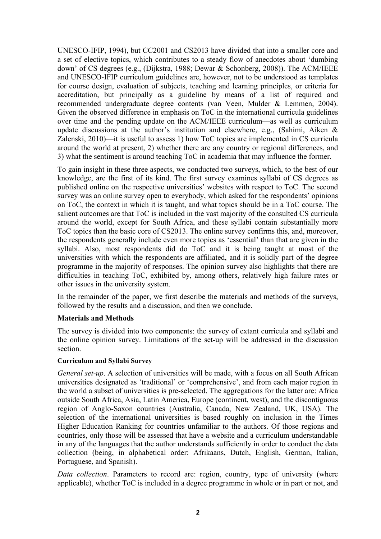UNESCO-IFIP, 1994), but CC2001 and CS2013 have divided that into a smaller core and a set of elective topics, which contributes to a steady flow of anecdotes about 'dumbing down' of CS degrees (e.g., (Dijkstra, 1988; Dewar & Schonberg, 2008)). The ACM/IEEE and UNESCO-IFIP curriculum guidelines are, however, not to be understood as templates for course design, evaluation of subjects, teaching and learning principles, or criteria for accreditation, but principally as a guideline by means of a list of required and recommended undergraduate degree contents (van Veen, Mulder & Lemmen, 2004). Given the observed difference in emphasis on ToC in the international curricula guidelines over time and the pending update on the ACM/IEEE curriculum—as well as curriculum update discussions at the author's institution and elsewhere, e.g., (Sahimi, Aiken & Zalenski, 2010)—it is useful to assess 1) how ToC topics are implemented in CS curricula around the world at present, 2) whether there are any country or regional differences, and 3) what the sentiment is around teaching ToC in academia that may influence the former.

To gain insight in these three aspects, we conducted two surveys, which, to the best of our knowledge, are the first of its kind. The first survey examines syllabi of CS degrees as published online on the respective universities' websites with respect to ToC. The second survey was an online survey open to everybody, which asked for the respondents' opinions on ToC, the context in which it is taught, and what topics should be in a ToC course. The salient outcomes are that ToC is included in the vast majority of the consulted CS curricula around the world, except for South Africa, and these syllabi contain substantially more ToC topics than the basic core of CS2013. The online survey confirms this, and, moreover, the respondents generally include even more topics as 'essential' than that are given in the syllabi. Also, most respondents did do ToC and it is being taught at most of the universities with which the respondents are affiliated, and it is solidly part of the degree programme in the majority of responses. The opinion survey also highlights that there are difficulties in teaching ToC, exhibited by, among others, relatively high failure rates or other issues in the university system.

In the remainder of the paper, we first describe the materials and methods of the surveys, followed by the results and a discussion, and then we conclude.

# **Materials and Methods**

The survey is divided into two components: the survey of extant curricula and syllabi and the online opinion survey. Limitations of the set-up will be addressed in the discussion section.

# **Curriculum and Syllabi Survey**

*General set-up*. A selection of universities will be made, with a focus on all South African universities designated as 'traditional' or 'comprehensive', and from each major region in the world a subset of universities is pre-selected. The aggregations for the latter are: Africa outside South Africa, Asia, Latin America, Europe (continent, west), and the discontiguous region of Anglo-Saxon countries (Australia, Canada, New Zealand, UK, USA). The selection of the international universities is based roughly on inclusion in the Times Higher Education Ranking for countries unfamiliar to the authors. Of those regions and countries, only those will be assessed that have a website and a curriculum understandable in any of the languages that the author understands sufficiently in order to conduct the data collection (being, in alphabetical order: Afrikaans, Dutch, English, German, Italian, Portuguese, and Spanish).

*Data collection*. Parameters to record are: region, country, type of university (where applicable), whether ToC is included in a degree programme in whole or in part or not, and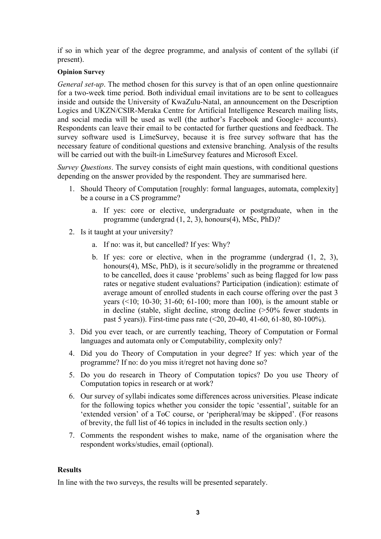if so in which year of the degree programme, and analysis of content of the syllabi (if present).

# **Opinion Survey**

*General set-up*. The method chosen for this survey is that of an open online questionnaire for a two-week time period. Both individual email invitations are to be sent to colleagues inside and outside the University of KwaZulu-Natal, an announcement on the Description Logics and UKZN/CSIR-Meraka Centre for Artificial Intelligence Research mailing lists, and social media will be used as well (the author's Facebook and Google+ accounts). Respondents can leave their email to be contacted for further questions and feedback. The survey software used is LimeSurvey, because it is free survey software that has the necessary feature of conditional questions and extensive branching. Analysis of the results will be carried out with the built-in LimeSurvey features and Microsoft Excel.

*Survey Questions*. The survey consists of eight main questions, with conditional questions depending on the answer provided by the respondent. They are summarised here.

- 1. Should Theory of Computation [roughly: formal languages, automata, complexity] be a course in a CS programme?
	- a. If yes: core or elective, undergraduate or postgraduate, when in the programme (undergrad (1, 2, 3), honours(4), MSc, PhD)?
- 2. Is it taught at your university?
	- a. If no: was it, but cancelled? If yes: Why?
	- b. If yes: core or elective, when in the programme (undergrad (1, 2, 3), honours(4), MSc, PhD), is it secure/solidly in the programme or threatened to be cancelled, does it cause 'problems' such as being flagged for low pass rates or negative student evaluations? Participation (indication): estimate of average amount of enrolled students in each course offering over the past 3 years (<10; 10-30; 31-60; 61-100; more than 100), is the amount stable or in decline (stable, slight decline, strong decline (>50% fewer students in past 5 years)). First-time pass rate (<20, 20-40, 41-60, 61-80, 80-100%).
- 3. Did you ever teach, or are currently teaching, Theory of Computation or Formal languages and automata only or Computability, complexity only?
- 4. Did you do Theory of Computation in your degree? If yes: which year of the programme? If no: do you miss it/regret not having done so?
- 5. Do you do research in Theory of Computation topics? Do you use Theory of Computation topics in research or at work?
- 6. Our survey of syllabi indicates some differences across universities. Please indicate for the following topics whether you consider the topic 'essential', suitable for an 'extended version' of a ToC course, or 'peripheral/may be skipped'. (For reasons of brevity, the full list of 46 topics in included in the results section only.)
- 7. Comments the respondent wishes to make, name of the organisation where the respondent works/studies, email (optional).

# **Results**

In line with the two surveys, the results will be presented separately.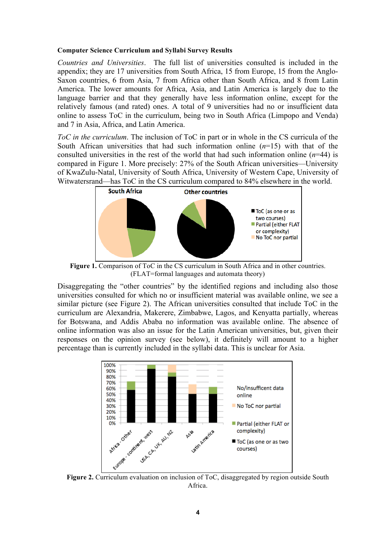#### **Computer Science Curriculum and Syllabi Survey Results**

*Countries and Universities*. The full list of universities consulted is included in the appendix; they are 17 universities from South Africa, 15 from Europe, 15 from the Anglo-Saxon countries, 6 from Asia, 7 from Africa other than South Africa, and 8 from Latin America. The lower amounts for Africa, Asia, and Latin America is largely due to the language barrier and that they generally have less information online, except for the relatively famous (and rated) ones. A total of 9 universities had no or insufficient data online to assess ToC in the curriculum, being two in South Africa (Limpopo and Venda) and 7 in Asia, Africa, and Latin America.

*ToC in the curriculum*. The inclusion of ToC in part or in whole in the CS curricula of the South African universities that had such information online  $(n=15)$  with that of the consulted universities in the rest of the world that had such information online (*n*=44) is compared in Figure 1. More precisely: 27% of the South African universities—University of KwaZulu-Natal, University of South Africa, University of Western Cape, University of Witwatersrand—has ToC in the CS curriculum compared to 84% elsewhere in the world.



**Figure 1.** Comparison of ToC in the CS curriculum in South Africa and in other countries. (FLAT=formal languages and automata theory)

Disaggregating the "other countries" by the identified regions and including also those universities consulted for which no or insufficient material was available online, we see a similar picture (see Figure 2). The African universities consulted that include ToC in the curriculum are Alexandria, Makerere, Zimbabwe, Lagos, and Kenyatta partially, whereas for Botswana, and Addis Ababa no information was available online. The absence of online information was also an issue for the Latin American universities, but, given their responses on the opinion survey (see below), it definitely will amount to a higher percentage than is currently included in the syllabi data. This is unclear for Asia.



**Figure 2.** Curriculum evaluation on inclusion of ToC, disaggregated by region outside South Africa.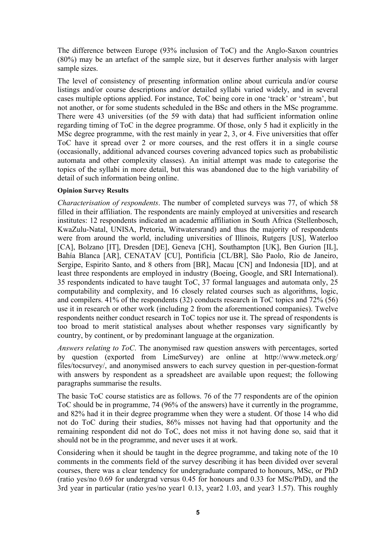The difference between Europe (93% inclusion of ToC) and the Anglo-Saxon countries (80%) may be an artefact of the sample size, but it deserves further analysis with larger sample sizes.

The level of consistency of presenting information online about curricula and/or course listings and/or course descriptions and/or detailed syllabi varied widely, and in several cases multiple options applied. For instance, ToC being core in one 'track' or 'stream', but not another, or for some students scheduled in the BSc and others in the MSc programme. There were 43 universities (of the 59 with data) that had sufficient information online regarding timing of ToC in the degree programme. Of those, only 5 had it explicitly in the MSc degree programme, with the rest mainly in year 2, 3, or 4. Five universities that offer ToC have it spread over 2 or more courses, and the rest offers it in a single course (occasionally, additional advanced courses covering advanced topics such as probabilistic automata and other complexity classes). An initial attempt was made to categorise the topics of the syllabi in more detail, but this was abandoned due to the high variability of detail of such information being online.

### **Opinion Survey Results**

*Characterisation of respondents*. The number of completed surveys was 77, of which 58 filled in their affiliation. The respondents are mainly employed at universities and research institutes: 12 respondents indicated an academic affiliation in South Africa (Stellenbosch, KwaZulu-Natal, UNISA, Pretoria, Witwatersrand) and thus the majority of respondents were from around the world, including universities of Illinois, Rutgers [US], Waterloo [CA], Bolzano [IT], Dresden [DE], Geneva [CH], Southampton [UK], Ben Gurion [IL], Bahía Blanca [AR], CENATAV [CU], Pontificia [CL/BR], São Paolo, Rio de Janeiro, Sergipe, Espirito Santo, and 8 others from [BR], Macau [CN] and Indonesia [ID], and at least three respondents are employed in industry (Boeing, Google, and SRI International). 35 respondents indicated to have taught ToC, 37 formal languages and automata only, 25 computability and complexity, and 16 closely related courses such as algorithms, logic, and compilers. 41% of the respondents (32) conducts research in ToC topics and 72% (56) use it in research or other work (including 2 from the aforementioned companies). Twelve respondents neither conduct research in ToC topics nor use it. The spread of respondents is too broad to merit statistical analyses about whether responses vary significantly by country, by continent, or by predominant language at the organization.

*Answers relating to ToC*. The anonymised raw question answers with percentages, sorted by question (exported from LimeSurvey) are online at http://www.meteck.org/ files/tocsurvey/, and anonymised answers to each survey question in per-question-format with answers by respondent as a spreadsheet are available upon request; the following paragraphs summarise the results.

The basic ToC course statistics are as follows. 76 of the 77 respondents are of the opinion ToC should be in programme, 74 (96% of the answers) have it currently in the programme, and 82% had it in their degree programme when they were a student. Of those 14 who did not do ToC during their studies, 86% misses not having had that opportunity and the remaining respondent did not do ToC, does not miss it not having done so, said that it should not be in the programme, and never uses it at work.

Considering when it should be taught in the degree programme, and taking note of the 10 comments in the comments field of the survey describing it has been divided over several courses, there was a clear tendency for undergraduate compared to honours, MSc, or PhD (ratio yes/no 0.69 for undergrad versus 0.45 for honours and 0.33 for MSc/PhD), and the 3rd year in particular (ratio yes/no year1 0.13, year2 1.03, and year3 1.57). This roughly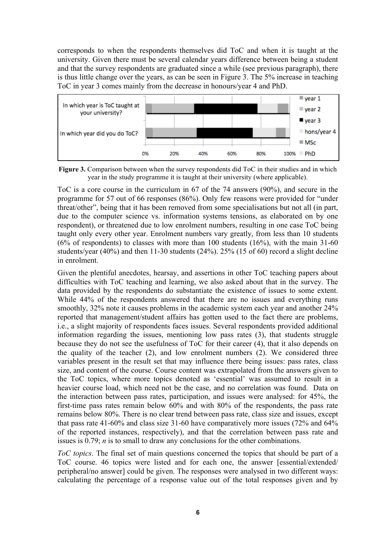corresponds to when the respondents themselves did ToC and when it is taught at the university. Given there must be several calendar years difference between being a student and that the survey respondents are graduated since a while (see previous paragraph), there is thus little change over the years, as can be seen in Figure 3. The 5% increase in teaching ToC in year 3 comes mainly from the decrease in honours/year 4 and PhD.



**Figure 3.** Comparison between when the survey respondents did ToC in their studies and in which year in the study programme it is taught at their university (where applicable).

ToC is a core course in the curriculum in 67 of the 74 answers (90%), and secure in the programme for 57 out of 66 responses (86%). Only few reasons were provided for "under threat/other", being that it has been removed from some specialisations but not all (in part, due to the computer science vs. information systems tensions, as elaborated on by one respondent), or threatened due to low enrolment numbers, resulting in one case ToC being taught only every other year. Enrolment numbers vary greatly, from less than 10 students  $(6\%$  of respondents) to classes with more than 100 students  $(16\%)$ , with the main 31-60 students/year (40%) and then 11-30 students (24%). 25% (15 of 60) record a slight decline in enrolment.

Given the plentiful anecdotes, hearsay, and assertions in other ToC teaching papers about difficulties with ToC teaching and learning, we also asked about that in the survey. The data provided by the respondents do substantiate the existence of issues to some extent. While 44% of the respondents answered that there are no issues and everything runs smoothly, 32% note it causes problems in the academic system each year and another 24% reported that management/student affairs has gotten used to the fact there are problems, i.e., a slight majority of respondents faces issues. Several respondents provided additional information regarding the issues, mentioning low pass rates (3), that students struggle because they do not see the usefulness of ToC for their career (4), that it also depends on the quality of the teacher (2), and low enrolment numbers (2). We considered three variables present in the result set that may influence there being issues: pass rates, class size, and content of the course. Course content was extrapolated from the answers given to the ToC topics, where more topics denoted as 'essential' was assumed to result in a heavier course load, which need not be the case, and no correlation was found. Data on the interaction between pass rates, participation, and issues were analysed: for 45%, the first-time pass rates remain below 60% and with 80% of the respondents, the pass rate remains below 80%. There is no clear trend between pass rate, class size and issues, except that pass rate 41-60% and class size 31-60 have comparatively more issues (72% and 64% of the reported instances, respectively), and that the correlation between pass rate and issues is 0.79; *n* is to small to draw any conclusions for the other combinations.

*ToC topics*. The final set of main questions concerned the topics that should be part of a ToC course. 46 topics were listed and for each one, the answer [essential/extended/ peripheral/no answer] could be given. The responses were analysed in two different ways: calculating the percentage of a response value out of the total responses given and by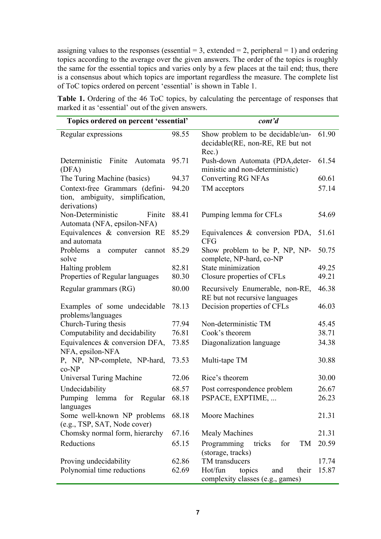assigning values to the responses (essential  $= 3$ , extended  $= 2$ , peripheral  $= 1$ ) and ordering topics according to the average over the given answers. The order of the topics is roughly the same for the essential topics and varies only by a few places at the tail end; thus, there is a consensus about which topics are important regardless the measure. The complete list of ToC topics ordered on percent 'essential' is shown in Table 1.

**Table 1.** Ordering of the 46 ToC topics, by calculating the percentage of responses that marked it as 'essential' out of the given answers.

| Topics ordered on percent 'essential'                                              |       | cont'd                                                                        |       |
|------------------------------------------------------------------------------------|-------|-------------------------------------------------------------------------------|-------|
| Regular expressions                                                                | 98.55 | Show problem to be decidable/un-<br>decidable(RE, non-RE, RE but not<br>Rec.) | 61.90 |
| Deterministic<br>Finite<br>Automata<br>(DFA)                                       | 95.71 | Push-down Automata (PDA, deter-<br>ministic and non-deterministic)            | 61.54 |
| The Turing Machine (basics)                                                        | 94.37 | Converting RG NFAs                                                            | 60.61 |
| Context-free Grammars (defini-<br>tion, ambiguity, simplification,<br>derivations) | 94.20 | TM acceptors                                                                  | 57.14 |
| Non-Deterministic<br>Finite<br>Automata (NFA, epsilon-NFA)                         | 88.41 | Pumping lemma for CFLs                                                        | 54.69 |
| Equivalences $\&$ conversion RE<br>and automata                                    | 85.29 | Equivalences $\&$ conversion PDA,<br><b>CFG</b>                               | 51.61 |
| Problems<br>computer<br>cannot<br>a<br>solve                                       | 85.29 | Show problem to be P, NP, NP-<br>complete, NP-hard, co-NP                     | 50.75 |
| Halting problem                                                                    | 82.81 | State minimization                                                            | 49.25 |
| Properties of Regular languages                                                    | 80.30 | Closure properties of CFLs                                                    | 49.21 |
| Regular grammars (RG)                                                              | 80.00 | Recursively Enumerable, non-RE,<br>RE but not recursive languages             | 46.38 |
| Examples of some undecidable<br>problems/languages                                 | 78.13 | Decision properties of CFLs                                                   | 46.03 |
| Church-Turing thesis                                                               | 77.94 | Non-deterministic TM                                                          | 45.45 |
| Computability and decidability                                                     | 76.81 | Cook's theorem                                                                | 38.71 |
| Equivalences & conversion DFA,<br>NFA, epsilon-NFA                                 | 73.85 | Diagonalization language                                                      | 34.38 |
| P, NP, NP-complete, NP-hard,<br>co-NP                                              | 73.53 | Multi-tape TM                                                                 | 30.88 |
| Universal Turing Machine                                                           | 72.06 | Rice's theorem                                                                | 30.00 |
| Undecidability                                                                     | 68.57 | Post correspondence problem                                                   | 26.67 |
| Pumping<br>for<br>Regular<br>lemma<br>languages                                    | 68.18 | PSPACE, EXPTIME,                                                              | 26.23 |
| Some well-known NP problems<br>(e.g., TSP, SAT, Node cover)                        | 68.18 | Moore Machines                                                                | 21.31 |
| Chomsky normal form, hierarchy                                                     | 67.16 | <b>Mealy Machines</b>                                                         | 21.31 |
| Reductions                                                                         | 65.15 | Programming<br>for<br>TM<br>tricks<br>(storage, tracks)                       | 20.59 |
| Proving undecidability                                                             | 62.86 | TM transducers                                                                | 17.74 |
| Polynomial time reductions                                                         | 62.69 | Hot/fun<br>topics<br>their<br>and<br>complexity classes (e.g., games)         | 15.87 |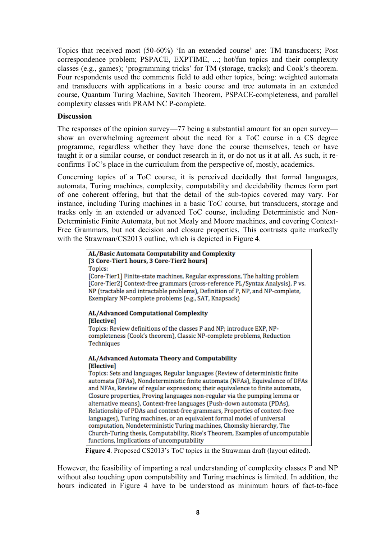Topics that received most (50-60%) 'In an extended course' are: TM transducers; Post correspondence problem; PSPACE, EXPTIME, ...; hot/fun topics and their complexity classes (e.g., games); 'programming tricks' for TM (storage, tracks); and Cook's theorem. Four respondents used the comments field to add other topics, being: weighted automata and transducers with applications in a basic course and tree automata in an extended course, Quantum Turing Machine, Savitch Theorem, PSPACE-completeness, and parallel complexity classes with PRAM NC P-complete.

# **Discussion**

The responses of the opinion survey—77 being a substantial amount for an open survey show an overwhelming agreement about the need for a ToC course in a CS degree programme, regardless whether they have done the course themselves, teach or have taught it or a similar course, or conduct research in it, or do not us it at all. As such, it reconfirms ToC's place in the curriculum from the perspective of, mostly, academics.

Concerning topics of a ToC course, it is perceived decidedly that formal languages, automata, Turing machines, complexity, computability and decidability themes form part of one coherent offering, but that the detail of the sub-topics covered may vary. For instance, including Turing machines in a basic ToC course, but transducers, storage and tracks only in an extended or advanced ToC course, including Deterministic and Non-Deterministic Finite Automata, but not Mealy and Moore machines, and covering Context-Free Grammars, but not decision and closure properties. This contrasts quite markedly with the Strawman/CS2013 outline, which is depicted in Figure 4.

| AL/Basic Automata Computability and Complexity<br>[3 Core-Tier1 hours, 3 Core-Tier2 hours]                                                                                                                                                       |  |  |
|--------------------------------------------------------------------------------------------------------------------------------------------------------------------------------------------------------------------------------------------------|--|--|
| Topics:                                                                                                                                                                                                                                          |  |  |
| [Core-Tier1] Finite-state machines, Regular expressions, The halting problem<br>[Core-Tier2] Context-free grammars (cross-reference PL/Syntax Analysis), P vs.<br>NP (tractable and intractable problems), Definition of P, NP, and NP-complete, |  |  |
| Exemplary NP-complete problems (e.g., SAT, Knapsack)                                                                                                                                                                                             |  |  |
| <b>AL/Advanced Computational Complexity</b><br>[Elective]                                                                                                                                                                                        |  |  |
| Topics: Review definitions of the classes P and NP; introduce EXP, NP-                                                                                                                                                                           |  |  |
| completeness (Cook's theorem), Classic NP-complete problems, Reduction                                                                                                                                                                           |  |  |
| Techniques                                                                                                                                                                                                                                       |  |  |
|                                                                                                                                                                                                                                                  |  |  |
| AL/Advanced Automata Theory and Computability                                                                                                                                                                                                    |  |  |
| [Elective]                                                                                                                                                                                                                                       |  |  |
| Topics: Sets and languages, Regular languages (Review of deterministic finite<br>automata (DFAs), Nondeterministic finite automata (NFAs), Equivalence of DFAs                                                                                   |  |  |
| and NFAs, Review of regular expressions; their equivalence to finite automata,                                                                                                                                                                   |  |  |
| Closure properties, Proving languages non-regular via the pumping lemma or                                                                                                                                                                       |  |  |
| alternative means), Context-free languages (Push-down automata (PDAs),                                                                                                                                                                           |  |  |
| Relationship of PDAs and context-free grammars, Properties of context-free                                                                                                                                                                       |  |  |
| languages), Turing machines, or an equivalent formal model of universal                                                                                                                                                                          |  |  |
| computation, Nondeterministic Turing machines, Chomsky hierarchy, The<br>Church-Turing thesis, Computability, Rice's Theorem, Examples of uncomputable                                                                                           |  |  |
| functions. Implications of uncomputability                                                                                                                                                                                                       |  |  |

**Figure 4**. Proposed CS2013's ToC topics in the Strawman draft (layout edited).

However, the feasibility of imparting a real understanding of complexity classes P and NP without also touching upon computability and Turing machines is limited. In addition, the hours indicated in Figure 4 have to be understood as minimum hours of fact-to-face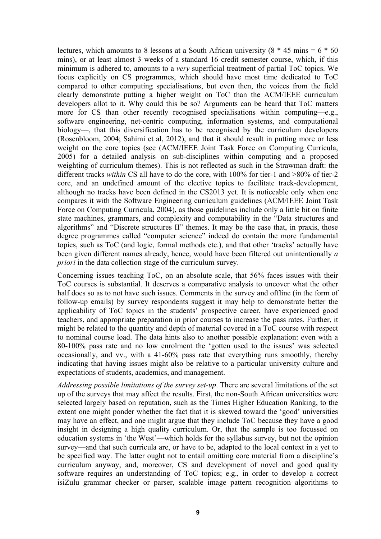lectures, which amounts to 8 lessons at a South African university  $(8 * 45 \text{ mins} = 6 * 60 \text{ m})$ mins), or at least almost 3 weeks of a standard 16 credit semester course, which, if this minimum is adhered to, amounts to a *very* superficial treatment of partial ToC topics. We focus explicitly on CS programmes, which should have most time dedicated to ToC compared to other computing specialisations, but even then, the voices from the field clearly demonstrate putting a higher weight on ToC than the ACM/IEEE curriculum developers allot to it. Why could this be so? Arguments can be heard that ToC matters more for CS than other recently recognised specialisations within computing—e.g., software engineering, net-centric computing, information systems, and computational biology—, that this diversification has to be recognised by the curriculum developers (Rosenbloom, 2004; Sahimi et al, 2012), and that it should result in putting more or less weight on the core topics (see (ACM/IEEE Joint Task Force on Computing Curricula, 2005) for a detailed analysis on sub-disciplines within computing and a proposed weighting of curriculum themes). This is not reflected as such in the Strawman draft: the different tracks *within* CS all have to do the core, with 100% for tier-1 and >80% of tier-2 core, and an undefined amount of the elective topics to facilitate track-development, although no tracks have been defined in the CS2013 yet. It is noticeable only when one compares it with the Software Engineering curriculum guidelines (ACM/IEEE Joint Task Force on Computing Curricula, 2004), as those guidelines include only a little bit on finite state machines, grammars, and complexity and computability in the "Data structures and algorithms" and "Discrete structures II" themes. It may be the case that, in praxis, those degree programmes called "computer science" indeed do contain the more fundamental topics, such as ToC (and logic, formal methods etc.), and that other 'tracks' actually have been given different names already, hence, would have been filtered out unintentionally *a priori* in the data collection stage of the curriculum survey.

Concerning issues teaching ToC, on an absolute scale, that 56% faces issues with their ToC courses is substantial. It deserves a comparative analysis to uncover what the other half does so as to not have such issues. Comments in the survey and offline (in the form of follow-up emails) by survey respondents suggest it may help to demonstrate better the applicability of ToC topics in the students' prospective career, have experienced good teachers, and appropriate preparation in prior courses to increase the pass rates. Further, it might be related to the quantity and depth of material covered in a ToC course with respect to nominal course load. The data hints also to another possible explanation: even with a 80-100% pass rate and no low enrolment the 'gotten used to the issues' was selected occasionally, and vv., with a 41-60% pass rate that everything runs smoothly, thereby indicating that having issues might also be relative to a particular university culture and expectations of students, academics, and management.

*Addressing possible limitations of the survey set-up*. There are several limitations of the set up of the surveys that may affect the results. First, the non-South African universities were selected largely based on reputation, such as the Times Higher Education Ranking, to the extent one might ponder whether the fact that it is skewed toward the 'good' universities may have an effect, and one might argue that they include ToC because they have a good insight in designing a high quality curriculum. Or, that the sample is too focussed on education systems in 'the West'—which holds for the syllabus survey, but not the opinion survey—and that such curricula are, or have to be, adapted to the local context in a yet to be specified way. The latter ought not to entail omitting core material from a discipline's curriculum anyway, and, moreover, CS and development of novel and good quality software requires an understanding of ToC topics; e.g., in order to develop a correct isiZulu grammar checker or parser, scalable image pattern recognition algorithms to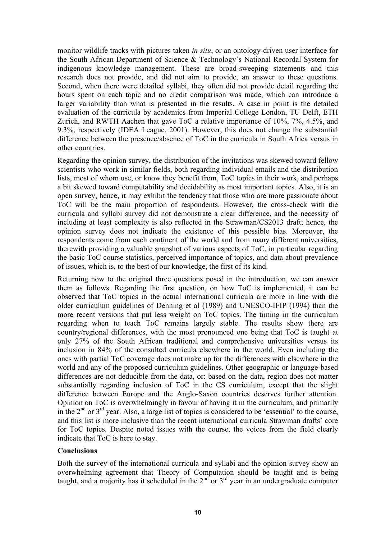monitor wildlife tracks with pictures taken *in situ*, or an ontology-driven user interface for the South African Department of Science & Technology's National Recordal System for indigenous knowledge management. These are broad-sweeping statements and this research does not provide, and did not aim to provide, an answer to these questions. Second, when there were detailed syllabi, they often did not provide detail regarding the hours spent on each topic and no credit comparison was made, which can introduce a larger variability than what is presented in the results. A case in point is the detailed evaluation of the curricula by academics from Imperial College London, TU Delft, ETH Zurich, and RWTH Aachen that gave ToC a relative importance of 10%, 7%, 4.5%, and 9.3%, respectively (IDEA League, 2001). However, this does not change the substantial difference between the presence/absence of ToC in the curricula in South Africa versus in other countries.

Regarding the opinion survey, the distribution of the invitations was skewed toward fellow scientists who work in similar fields, both regarding individual emails and the distribution lists, most of whom use, or know they benefit from, ToC topics in their work, and perhaps a bit skewed toward computability and decidability as most important topics. Also, it is an open survey, hence, it may exhibit the tendency that those who are more passionate about ToC will be the main proportion of respondents. However, the cross-check with the curricula and syllabi survey did not demonstrate a clear difference, and the necessity of including at least complexity is also reflected in the Strawman/CS2013 draft; hence, the opinion survey does not indicate the existence of this possible bias. Moreover, the respondents come from each continent of the world and from many different universities, therewith providing a valuable snapshot of various aspects of ToC, in particular regarding the basic ToC course statistics, perceived importance of topics, and data about prevalence of issues, which is, to the best of our knowledge, the first of its kind.

Returning now to the original three questions posed in the introduction, we can answer them as follows. Regarding the first question, on how ToC is implemented, it can be observed that ToC topics in the actual international curricula are more in line with the older curriculum guidelines of Denning et al (1989) and UNESCO-IFIP (1994) than the more recent versions that put less weight on ToC topics. The timing in the curriculum regarding when to teach ToC remains largely stable. The results show there are country/regional differences, with the most pronounced one being that ToC is taught at only 27% of the South African traditional and comprehensive universities versus its inclusion in 84% of the consulted curricula elsewhere in the world. Even including the ones with partial ToC coverage does not make up for the differences with elsewhere in the world and any of the proposed curriculum guidelines. Other geographic or language-based differences are not deducible from the data, or: based on the data, region does not matter substantially regarding inclusion of ToC in the CS curriculum, except that the slight difference between Europe and the Anglo-Saxon countries deserves further attention. Opinion on ToC is overwhelmingly in favour of having it in the curriculum, and primarily in the  $2<sup>nd</sup>$  or  $3<sup>rd</sup>$  year. Also, a large list of topics is considered to be 'essential' to the course, and this list is more inclusive than the recent international curricula Strawman drafts' core for ToC topics. Despite noted issues with the course, the voices from the field clearly indicate that ToC is here to stay.

# **Conclusions**

Both the survey of the international curricula and syllabi and the opinion survey show an overwhelming agreement that Theory of Computation should be taught and is being taught, and a majority has it scheduled in the  $2<sup>nd</sup>$  or  $3<sup>rd</sup>$  year in an undergraduate computer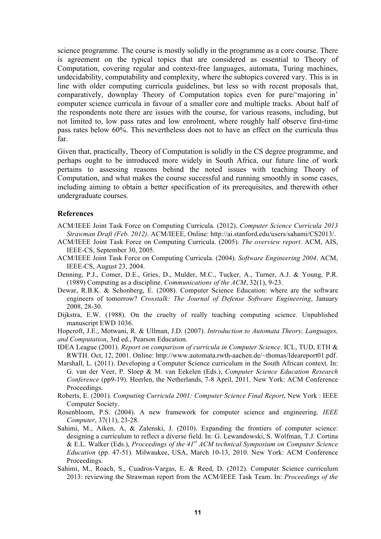science programme. The course is mostly solidly in the programme as a core course. There is agreement on the typical topics that are considered as essential to Theory of Computation, covering regular and context-free languages, automata, Turing machines, undecidability, computability and complexity, where the subtopics covered vary. This is in line with older computing curricula guidelines, but less so with recent proposals that, comparatively, downplay Theory of Computation topics even for pure/'majoring in' computer science curricula in favour of a smaller core and multiple tracks. About half of the respondents note there are issues with the course, for various reasons, including, but not limited to, low pass rates and low enrolment, where roughly half observe first-time pass rates below 60%. This nevertheless does not to have an effect on the curricula thus far.

Given that, practically, Theory of Computation is solidly in the CS degree programme, and perhaps ought to be introduced more widely in South Africa, our future line of work pertains to assessing reasons behind the noted issues with teaching Theory of Computation, and what makes the course successful and running smoothly in some cases, including aiming to obtain a better specification of its prerequisites, and therewith other undergraduate courses.

### **References**

- ACM/IEEE Joint Task Force on Computing Curricula. (2012). *Computer Science Curricula 2013 Strawman Draft (Feb. 2012)*. ACM/IEEE, Online: http://ai.stanford.edu/users/sahami/CS2013/.
- ACM/IEEE Joint Task Force on Computing Curricula. (2005). *The overview report*. ACM, AIS, IEEE-CS, September 30, 2005.
- ACM/IEEE Joint Task Force on Computing Curricula. (2004). *Software Engineering 2004*. ACM, IEEE-CS, August 23, 2004.
- Denning, P.J., Comer, D.E., Gries, D., Mulder, M.C., Tucker, A., Turner, A.J. & Young, P.R. (1989) Computing as a discipline. *Communications of the ACM*, 32(1), 9-23.
- Dewar, R.B.K. & Schonberg, E. (2008). Computer Science Education: where are the software engineers of tomorrow? *Crosstalk: The Journal of Defense Software Engineering*, January 2008, 28-30.
- Dijkstra, E.W. (1988). On the cruelty of really teaching computing science. Unpublished manuscript EWD 1036.

Hopcroft, J.E., Motwani, R. & Ullman, J.D. (2007). *Introduction to Automata Theory, Languages, and Computation*, 3rd ed., Pearson Education.

IDEA League (2001). *Report on comparison of curricula in Computer Science*. ICL, TUD, ETH & RWTH. Oct, 12, 2001. Online: http://www.automata.rwth-aachen.de/~thomas/Ideareport01.pdf.

- Marshall, L. (2011). Developing a Computer Science curriculum in the South African context. In: G. van der Veer, P. Sloep & M. van Eekelen (Eds.), *Computer Science Education Research Conference* (pp9-19). Heerlen, the Netherlands, 7-8 April, 2011. New York: ACM Conference Proceedings.
- Roberts, E. (2001). *Computing Curricula 2001: Computer Science Final Report*, New York : IEEE Computer Society.
- Rosenbloom, P.S. (2004). A new framework for computer science and engineering. *IEEE Computer*, 37(11), 23-28.
- Sahimi, M., Aiken, A, & Zalenski, J. (2010). Expanding the frontiers of computer science: designing a curriculum to reflect a diverse field. In: G. Lewandowski, S. Wolfman, T.J. Cortina & E.L. Walker (Eds.), *Proceedings of the 41st ACM technical Symposium on Computer Science Education* (pp. 47-51)*.* Milwaukee, USA, March 10-13, 2010. New York: ACM Conference Proceedings.
- Sahimi, M., Roach, S., Cuadros-Vargas, E. & Reed, D. (2012). Computer Science curriculum 2013: reviewing the Strawman report from the ACM/IEEE Task Team. In: *Proceedings of the*